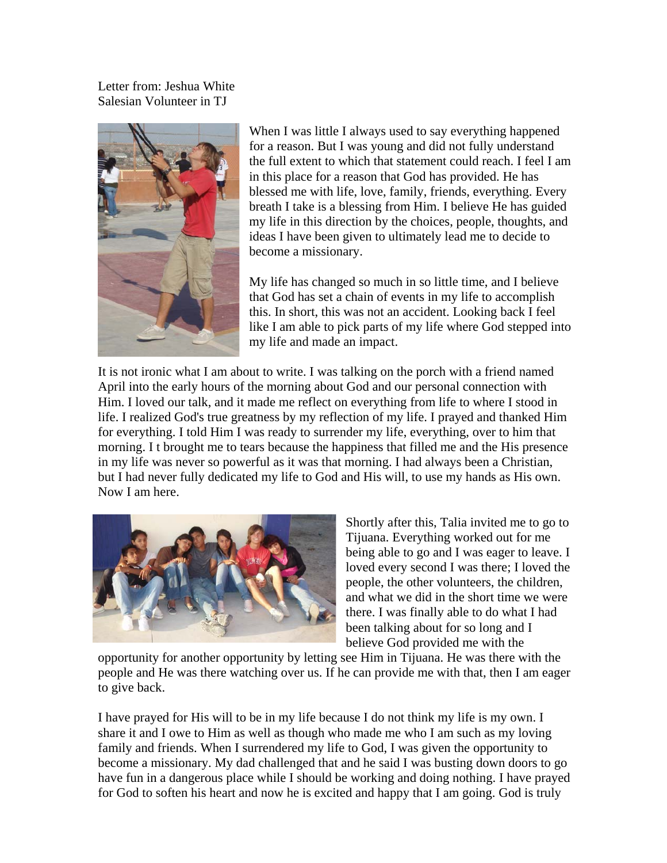Letter from: Jeshua White Salesian Volunteer in TJ



When I was little I always used to say everything happened for a reason. But I was young and did not fully understand the full extent to which that statement could reach. I feel I am in this place for a reason that God has provided. He has blessed me with life, love, family, friends, everything. Every breath I take is a blessing from Him. I believe He has guided my life in this direction by the choices, people, thoughts, and ideas I have been given to ultimately lead me to decide to become a missionary.

My life has changed so much in so little time, and I believe that God has set a chain of events in my life to accomplish this. In short, this was not an accident. Looking back I feel like I am able to pick parts of my life where God stepped into my life and made an impact.

It is not ironic what I am about to write. I was talking on the porch with a friend named April into the early hours of the morning about God and our personal connection with Him. I loved our talk, and it made me reflect on everything from life to where I stood in life. I realized God's true greatness by my reflection of my life. I prayed and thanked Him for everything. I told Him I was ready to surrender my life, everything, over to him that morning. I t brought me to tears because the happiness that filled me and the His presence in my life was never so powerful as it was that morning. I had always been a Christian, but I had never fully dedicated my life to God and His will, to use my hands as His own. Now I am here.



Shortly after this, Talia invited me to go to Tijuana. Everything worked out for me being able to go and I was eager to leave. I loved every second I was there; I loved the people, the other volunteers, the children, and what we did in the short time we were there. I was finally able to do what I had been talking about for so long and I believe God provided me with the

opportunity for another opportunity by letting see Him in Tijuana. He was there with the people and He was there watching over us. If he can provide me with that, then I am eager to give back.

I have prayed for His will to be in my life because I do not think my life is my own. I share it and I owe to Him as well as though who made me who I am such as my loving family and friends. When I surrendered my life to God, I was given the opportunity to become a missionary. My dad challenged that and he said I was busting down doors to go have fun in a dangerous place while I should be working and doing nothing. I have prayed for God to soften his heart and now he is excited and happy that I am going. God is truly